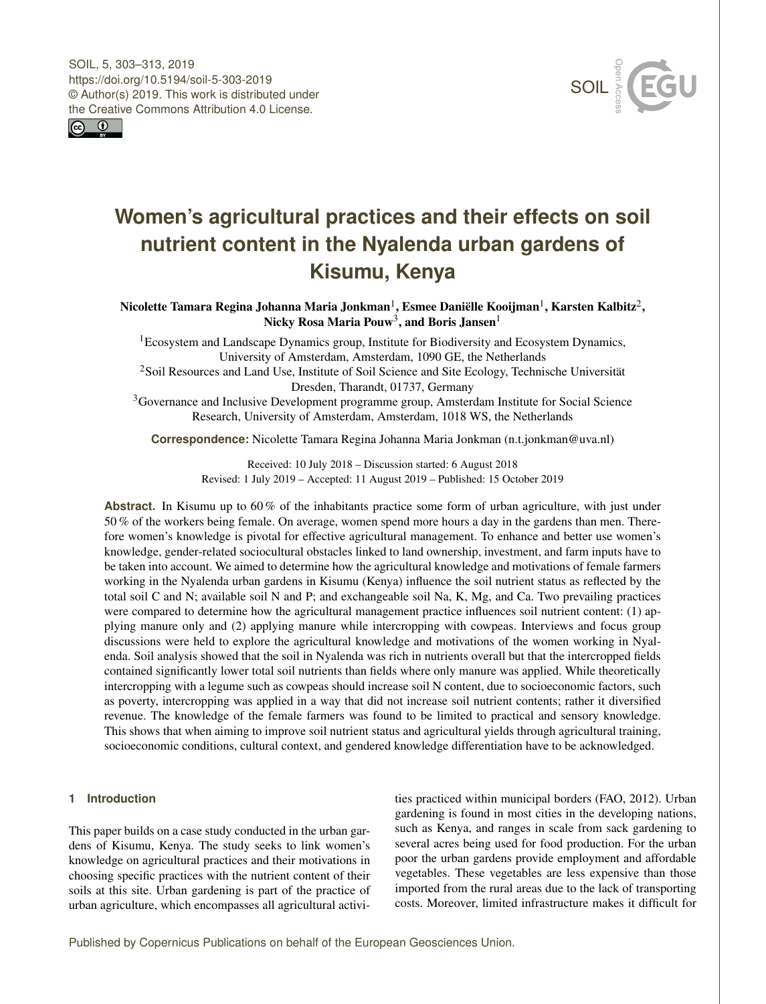<span id="page-0-1"></span>



# **Women's agricultural practices and their effects on soil nutrient content in the Nyalenda urban gardens of Kisumu, Kenya**

Nicolette Tamara Regina Johanna Maria Jonkman $^{\rm l}$ , Esmee Daniëlle Kooijman $^{\rm l}$ , Karsten Kalbitz $^{\rm 2}$  $^{\rm 2}$  $^{\rm 2}$ , Nicky Rosa Maria Pouw $^3,$  $^3,$  $^3,$  and Boris Jansen $^1$  $^1$ 

<sup>1</sup> Ecosystem and Landscape Dynamics group, Institute for Biodiversity and Ecosystem Dynamics, University of Amsterdam, Amsterdam, 1090 GE, the Netherlands

<sup>2</sup>Soil Resources and Land Use, Institute of Soil Science and Site Ecology, Technische Universität Dresden, Tharandt, 01737, Germany

<sup>3</sup>Governance and Inclusive Development programme group, Amsterdam Institute for Social Science Research, University of Amsterdam, Amsterdam, 1018 WS, the Netherlands

**Correspondence:** Nicolette Tamara Regina Johanna Maria Jonkman (n.t.jonkman@uva.nl)

Received: 10 July 2018 – Discussion started: 6 August 2018 Revised: 1 July 2019 – Accepted: 11 August 2019 – Published: 15 October 2019

**Abstract.** In Kisumu up to 60 % of the inhabitants practice some form of urban agriculture, with just under 50 % of the workers being female. On average, women spend more hours a day in the gardens than men. Therefore women's knowledge is pivotal for effective agricultural management. To enhance and better use women's knowledge, gender-related sociocultural obstacles linked to land ownership, investment, and farm inputs have to be taken into account. We aimed to determine how the agricultural knowledge and motivations of female farmers working in the Nyalenda urban gardens in Kisumu (Kenya) influence the soil nutrient status as reflected by the total soil C and N; available soil N and P; and exchangeable soil Na, K, Mg, and Ca. Two prevailing practices were compared to determine how the agricultural management practice influences soil nutrient content: (1) applying manure only and (2) applying manure while intercropping with cowpeas. Interviews and focus group discussions were held to explore the agricultural knowledge and motivations of the women working in Nyalenda. Soil analysis showed that the soil in Nyalenda was rich in nutrients overall but that the intercropped fields contained significantly lower total soil nutrients than fields where only manure was applied. While theoretically intercropping with a legume such as cowpeas should increase soil N content, due to socioeconomic factors, such as poverty, intercropping was applied in a way that did not increase soil nutrient contents; rather it diversified revenue. The knowledge of the female farmers was found to be limited to practical and sensory knowledge. This shows that when aiming to improve soil nutrient status and agricultural yields through agricultural training, socioeconomic conditions, cultural context, and gendered knowledge differentiation have to be acknowledged.

## <span id="page-0-0"></span>**1 Introduction**

This paper builds on a case study conducted in the urban gardens of Kisumu, Kenya. The study seeks to link women's knowledge on agricultural practices and their motivations in choosing specific practices with the nutrient content of their soils at this site. Urban gardening is part of the practice of urban agriculture, which encompasses all agricultural activities practiced within municipal borders (FAO, 2012). Urban gardening is found in most cities in the developing nations, such as Kenya, and ranges in scale from sack gardening to several acres being used for food production. For the urban poor the urban gardens provide employment and affordable vegetables. These vegetables are less expensive than those imported from the rural areas due to the lack of transporting costs. Moreover, limited infrastructure makes it difficult for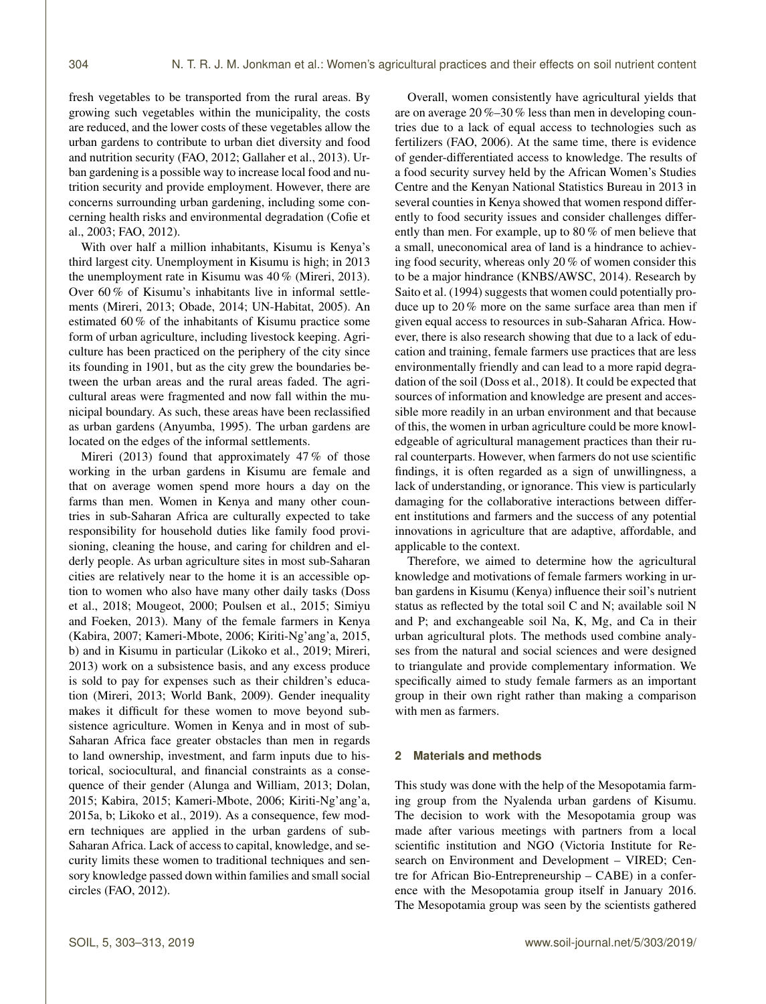fresh vegetables to be transported from the rural areas. By growing such vegetables within the municipality, the costs are reduced, and the lower costs of these vegetables allow the urban gardens to contribute to urban diet diversity and food and nutrition security (FAO, 2012; Gallaher et al., 2013). Urban gardening is a possible way to increase local food and nutrition security and provide employment. However, there are concerns surrounding urban gardening, including some concerning health risks and environmental degradation (Cofie et al., 2003; FAO, 2012).

With over half a million inhabitants, Kisumu is Kenya's third largest city. Unemployment in Kisumu is high; in 2013 the unemployment rate in Kisumu was 40 % (Mireri, 2013). Over 60 % of Kisumu's inhabitants live in informal settlements (Mireri, 2013; Obade, 2014; UN-Habitat, 2005). An estimated 60 % of the inhabitants of Kisumu practice some form of urban agriculture, including livestock keeping. Agriculture has been practiced on the periphery of the city since its founding in 1901, but as the city grew the boundaries between the urban areas and the rural areas faded. The agricultural areas were fragmented and now fall within the municipal boundary. As such, these areas have been reclassified as urban gardens (Anyumba, 1995). The urban gardens are located on the edges of the informal settlements.

Mireri (2013) found that approximately  $47\%$  of those working in the urban gardens in Kisumu are female and that on average women spend more hours a day on the farms than men. Women in Kenya and many other countries in sub-Saharan Africa are culturally expected to take responsibility for household duties like family food provisioning, cleaning the house, and caring for children and elderly people. As urban agriculture sites in most sub-Saharan cities are relatively near to the home it is an accessible option to women who also have many other daily tasks (Doss et al., 2018; Mougeot, 2000; Poulsen et al., 2015; Simiyu and Foeken, 2013). Many of the female farmers in Kenya (Kabira, 2007; Kameri-Mbote, 2006; Kiriti-Ng'ang'a, 2015, b) and in Kisumu in particular (Likoko et al., 2019; Mireri, 2013) work on a subsistence basis, and any excess produce is sold to pay for expenses such as their children's education (Mireri, 2013; World Bank, 2009). Gender inequality makes it difficult for these women to move beyond subsistence agriculture. Women in Kenya and in most of sub-Saharan Africa face greater obstacles than men in regards to land ownership, investment, and farm inputs due to historical, sociocultural, and financial constraints as a consequence of their gender (Alunga and William, 2013; Dolan, 2015; Kabira, 2015; Kameri-Mbote, 2006; Kiriti-Ng'ang'a, 2015a, b; Likoko et al., 2019). As a consequence, few modern techniques are applied in the urban gardens of sub-Saharan Africa. Lack of access to capital, knowledge, and security limits these women to traditional techniques and sensory knowledge passed down within families and small social circles (FAO, 2012).

Overall, women consistently have agricultural yields that are on average 20 %–30 % less than men in developing countries due to a lack of equal access to technologies such as fertilizers (FAO, 2006). At the same time, there is evidence of gender-differentiated access to knowledge. The results of a food security survey held by the African Women's Studies Centre and the Kenyan National Statistics Bureau in 2013 in several counties in Kenya showed that women respond differently to food security issues and consider challenges differently than men. For example, up to 80 % of men believe that a small, uneconomical area of land is a hindrance to achieving food security, whereas only 20 % of women consider this to be a major hindrance (KNBS/AWSC, 2014). Research by Saito et al. (1994) suggests that women could potentially produce up to 20 % more on the same surface area than men if given equal access to resources in sub-Saharan Africa. However, there is also research showing that due to a lack of education and training, female farmers use practices that are less environmentally friendly and can lead to a more rapid degradation of the soil (Doss et al., 2018). It could be expected that sources of information and knowledge are present and accessible more readily in an urban environment and that because of this, the women in urban agriculture could be more knowledgeable of agricultural management practices than their rural counterparts. However, when farmers do not use scientific findings, it is often regarded as a sign of unwillingness, a lack of understanding, or ignorance. This view is particularly damaging for the collaborative interactions between different institutions and farmers and the success of any potential innovations in agriculture that are adaptive, affordable, and applicable to the context.

Therefore, we aimed to determine how the agricultural knowledge and motivations of female farmers working in urban gardens in Kisumu (Kenya) influence their soil's nutrient status as reflected by the total soil C and N; available soil N and P; and exchangeable soil Na, K, Mg, and Ca in their urban agricultural plots. The methods used combine analyses from the natural and social sciences and were designed to triangulate and provide complementary information. We specifically aimed to study female farmers as an important group in their own right rather than making a comparison with men as farmers.

## **2 Materials and methods**

This study was done with the help of the Mesopotamia farming group from the Nyalenda urban gardens of Kisumu. The decision to work with the Mesopotamia group was made after various meetings with partners from a local scientific institution and NGO (Victoria Institute for Research on Environment and Development – VIRED; Centre for African Bio-Entrepreneurship – CABE) in a conference with the Mesopotamia group itself in January 2016. The Mesopotamia group was seen by the scientists gathered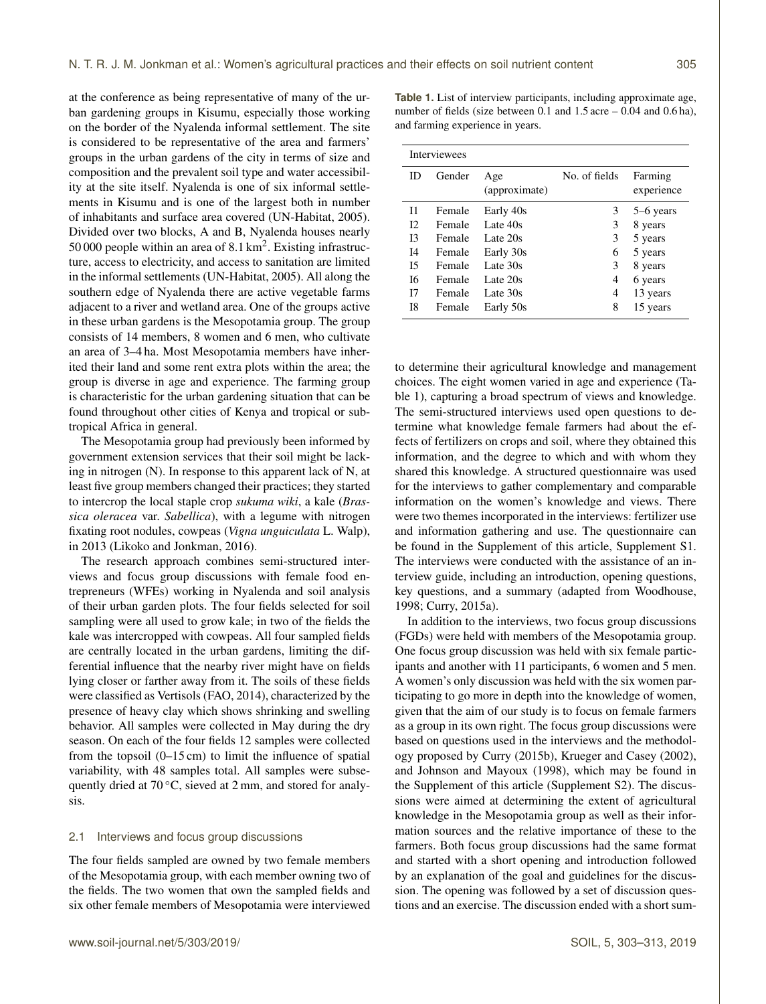at the conference as being representative of many of the urban gardening groups in Kisumu, especially those working on the border of the Nyalenda informal settlement. The site is considered to be representative of the area and farmers' groups in the urban gardens of the city in terms of size and composition and the prevalent soil type and water accessibility at the site itself. Nyalenda is one of six informal settlements in Kisumu and is one of the largest both in number of inhabitants and surface area covered (UN-Habitat, 2005). Divided over two blocks, A and B, Nyalenda houses nearly 50 000 people within an area of  $8.1 \text{ km}^2$ . Existing infrastructure, access to electricity, and access to sanitation are limited in the informal settlements (UN-Habitat, 2005). All along the southern edge of Nyalenda there are active vegetable farms adjacent to a river and wetland area. One of the groups active in these urban gardens is the Mesopotamia group. The group consists of 14 members, 8 women and 6 men, who cultivate an area of 3–4 ha. Most Mesopotamia members have inherited their land and some rent extra plots within the area; the group is diverse in age and experience. The farming group is characteristic for the urban gardening situation that can be found throughout other cities of Kenya and tropical or subtropical Africa in general.

The Mesopotamia group had previously been informed by government extension services that their soil might be lacking in nitrogen (N). In response to this apparent lack of N, at least five group members changed their practices; they started to intercrop the local staple crop *sukuma wiki*, a kale (*Brassica oleracea* var. *Sabellica*), with a legume with nitrogen fixating root nodules, cowpeas (*Vigna unguiculata* L. Walp), in 2013 (Likoko and Jonkman, 2016).

The research approach combines semi-structured interviews and focus group discussions with female food entrepreneurs (WFEs) working in Nyalenda and soil analysis of their urban garden plots. The four fields selected for soil sampling were all used to grow kale; in two of the fields the kale was intercropped with cowpeas. All four sampled fields are centrally located in the urban gardens, limiting the differential influence that the nearby river might have on fields lying closer or farther away from it. The soils of these fields were classified as Vertisols (FAO, 2014), characterized by the presence of heavy clay which shows shrinking and swelling behavior. All samples were collected in May during the dry season. On each of the four fields 12 samples were collected from the topsoil  $(0-15 \text{ cm})$  to limit the influence of spatial variability, with 48 samples total. All samples were subsequently dried at  $70^{\circ}$ C, sieved at 2 mm, and stored for analysis.

## 2.1 Interviews and focus group discussions

The four fields sampled are owned by two female members of the Mesopotamia group, with each member owning two of the fields. The two women that own the sampled fields and six other female members of Mesopotamia were interviewed

**Table 1.** List of interview participants, including approximate age, number of fields (size between 0.1 and 1.5 acre – 0.04 and 0.6 ha), and farming experience in years.

| <b>Interviewees</b> |        |                      |               |                       |  |  |  |  |
|---------------------|--------|----------------------|---------------|-----------------------|--|--|--|--|
| ID                  | Gender | Age<br>(approximate) | No. of fields | Farming<br>experience |  |  |  |  |
| $_{11}$             | Female | Early 40s            | 3             | 5–6 years             |  |  |  |  |
| 12                  | Female | Late 40s             | 3             | 8 years               |  |  |  |  |
| 13                  | Female | Late 20s             | 3             | 5 years               |  |  |  |  |
| 14                  | Female | Early 30s            | 6             | 5 years               |  |  |  |  |
| 15                  | Female | Late 30s             | 3             | 8 years               |  |  |  |  |
| 16                  | Female | Late 20s             | 4             | 6 years               |  |  |  |  |
| I7                  | Female | Late 30s             | 4             | 13 years              |  |  |  |  |
| I8                  | Female | Early 50s            | 8             | 15 years              |  |  |  |  |

to determine their agricultural knowledge and management choices. The eight women varied in age and experience (Table 1), capturing a broad spectrum of views and knowledge. The semi-structured interviews used open questions to determine what knowledge female farmers had about the effects of fertilizers on crops and soil, where they obtained this information, and the degree to which and with whom they shared this knowledge. A structured questionnaire was used for the interviews to gather complementary and comparable information on the women's knowledge and views. There were two themes incorporated in the interviews: fertilizer use and information gathering and use. The questionnaire can be found in the Supplement of this article, Supplement S1. The interviews were conducted with the assistance of an interview guide, including an introduction, opening questions, key questions, and a summary (adapted from Woodhouse, 1998; Curry, 2015a).

In addition to the interviews, two focus group discussions (FGDs) were held with members of the Mesopotamia group. One focus group discussion was held with six female participants and another with 11 participants, 6 women and 5 men. A women's only discussion was held with the six women participating to go more in depth into the knowledge of women, given that the aim of our study is to focus on female farmers as a group in its own right. The focus group discussions were based on questions used in the interviews and the methodology proposed by Curry (2015b), Krueger and Casey (2002), and Johnson and Mayoux (1998), which may be found in the Supplement of this article (Supplement S2). The discussions were aimed at determining the extent of agricultural knowledge in the Mesopotamia group as well as their information sources and the relative importance of these to the farmers. Both focus group discussions had the same format and started with a short opening and introduction followed by an explanation of the goal and guidelines for the discussion. The opening was followed by a set of discussion questions and an exercise. The discussion ended with a short sum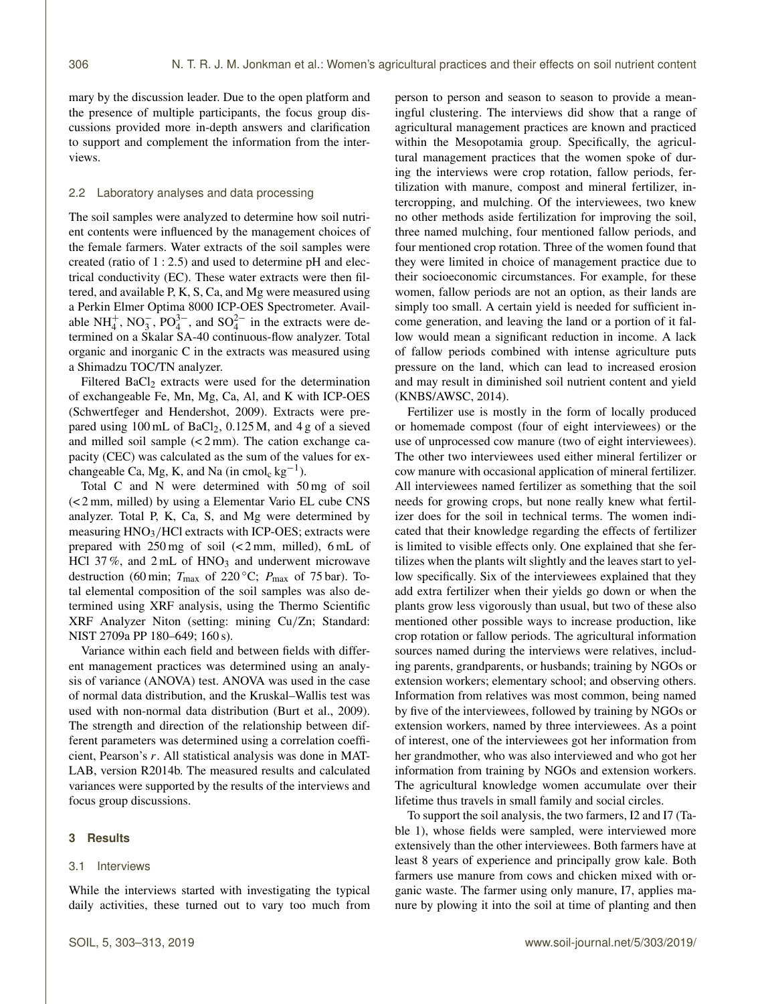mary by the discussion leader. Due to the open platform and the presence of multiple participants, the focus group discussions provided more in-depth answers and clarification to support and complement the information from the interviews.

#### 2.2 Laboratory analyses and data processing

The soil samples were analyzed to determine how soil nutrient contents were influenced by the management choices of the female farmers. Water extracts of the soil samples were created (ratio of 1 : 2.5) and used to determine pH and electrical conductivity (EC). These water extracts were then filtered, and available P, K, S, Ca, and Mg were measured using a Perkin Elmer Optima 8000 ICP-OES Spectrometer. Available NH<sup>+</sup><sub>4</sub>, NO<sub>3</sub>, PO<sub>4</sub><sup>3-</sup>, and SO<sub>4</sub><sup>2-</sup> in the extracts were determined on a Skalar SA-40 continuous-flow analyzer. Total organic and inorganic C in the extracts was measured using a Shimadzu TOC/TN analyzer.

Filtered BaCl<sub>2</sub> extracts were used for the determination of exchangeable Fe, Mn, Mg, Ca, Al, and K with ICP-OES (Schwertfeger and Hendershot, 2009). Extracts were prepared using  $100 \text{ mL of BaCl}_2$ ,  $0.125 \text{ M}$ , and  $4 \text{ g of a sieved}$ and milled soil sample  $\left($ <2 mm). The cation exchange capacity (CEC) was calculated as the sum of the values for exchangeable Ca, Mg, K, and Na (in cmol<sub>c</sub> kg<sup>-1</sup>).

Total C and N were determined with 50 mg of soil (< 2 mm, milled) by using a Elementar Vario EL cube CNS analyzer. Total P, K, Ca, S, and Mg were determined by measuring  $HNO<sub>3</sub>/HCl$  extracts with ICP-OES; extracts were prepared with 250 mg of soil (< 2 mm, milled), 6 mL of HCl 37%, and  $2 \text{ mL of HNO}_3$  and underwent microwave destruction (60 min;  $T_{\text{max}}$  of 220 °C;  $P_{\text{max}}$  of 75 bar). Total elemental composition of the soil samples was also determined using XRF analysis, using the Thermo Scientific XRF Analyzer Niton (setting: mining Cu/Zn; Standard: NIST 2709a PP 180–649; 160 s).

Variance within each field and between fields with different management practices was determined using an analysis of variance (ANOVA) test. ANOVA was used in the case of normal data distribution, and the Kruskal–Wallis test was used with non-normal data distribution (Burt et al., 2009). The strength and direction of the relationship between different parameters was determined using a correlation coefficient, Pearson's r. All statistical analysis was done in MAT-LAB, version R2014b. The measured results and calculated variances were supported by the results of the interviews and focus group discussions.

## **3 Results**

#### 3.1 Interviews

While the interviews started with investigating the typical daily activities, these turned out to vary too much from person to person and season to season to provide a meaningful clustering. The interviews did show that a range of agricultural management practices are known and practiced within the Mesopotamia group. Specifically, the agricultural management practices that the women spoke of during the interviews were crop rotation, fallow periods, fertilization with manure, compost and mineral fertilizer, intercropping, and mulching. Of the interviewees, two knew no other methods aside fertilization for improving the soil, three named mulching, four mentioned fallow periods, and four mentioned crop rotation. Three of the women found that they were limited in choice of management practice due to their socioeconomic circumstances. For example, for these women, fallow periods are not an option, as their lands are simply too small. A certain yield is needed for sufficient income generation, and leaving the land or a portion of it fallow would mean a significant reduction in income. A lack of fallow periods combined with intense agriculture puts pressure on the land, which can lead to increased erosion and may result in diminished soil nutrient content and yield (KNBS/AWSC, 2014).

Fertilizer use is mostly in the form of locally produced or homemade compost (four of eight interviewees) or the use of unprocessed cow manure (two of eight interviewees). The other two interviewees used either mineral fertilizer or cow manure with occasional application of mineral fertilizer. All interviewees named fertilizer as something that the soil needs for growing crops, but none really knew what fertilizer does for the soil in technical terms. The women indicated that their knowledge regarding the effects of fertilizer is limited to visible effects only. One explained that she fertilizes when the plants wilt slightly and the leaves start to yellow specifically. Six of the interviewees explained that they add extra fertilizer when their yields go down or when the plants grow less vigorously than usual, but two of these also mentioned other possible ways to increase production, like crop rotation or fallow periods. The agricultural information sources named during the interviews were relatives, including parents, grandparents, or husbands; training by NGOs or extension workers; elementary school; and observing others. Information from relatives was most common, being named by five of the interviewees, followed by training by NGOs or extension workers, named by three interviewees. As a point of interest, one of the interviewees got her information from her grandmother, who was also interviewed and who got her information from training by NGOs and extension workers. The agricultural knowledge women accumulate over their lifetime thus travels in small family and social circles.

To support the soil analysis, the two farmers, I2 and I7 (Table 1), whose fields were sampled, were interviewed more extensively than the other interviewees. Both farmers have at least 8 years of experience and principally grow kale. Both farmers use manure from cows and chicken mixed with organic waste. The farmer using only manure, I7, applies manure by plowing it into the soil at time of planting and then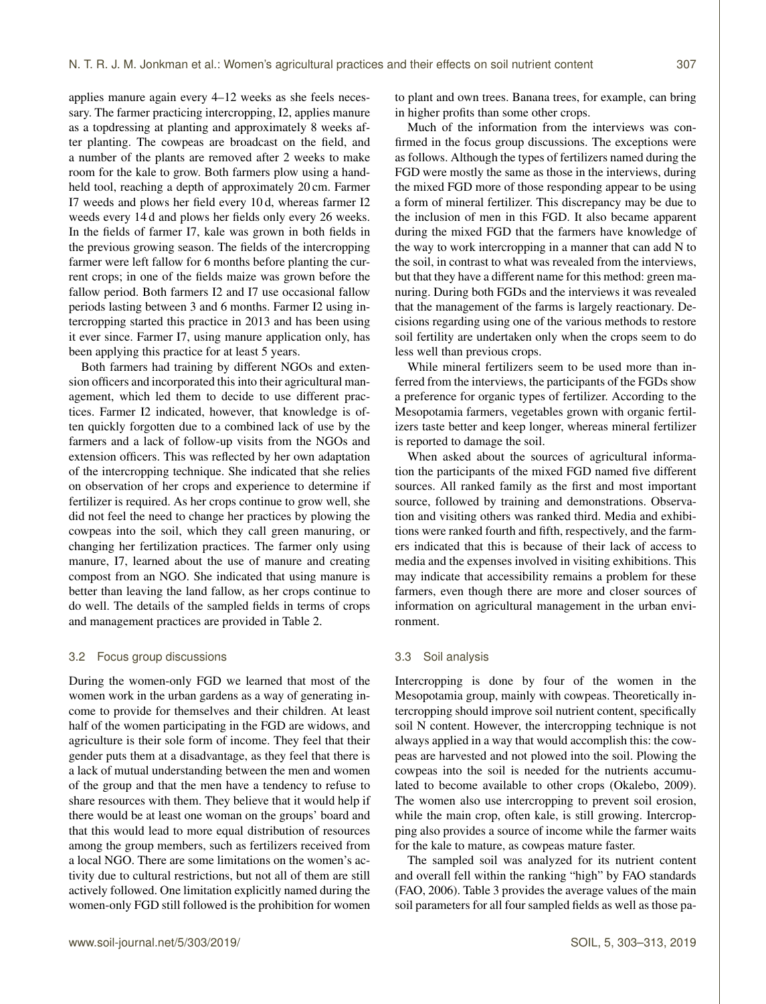applies manure again every 4–12 weeks as she feels necessary. The farmer practicing intercropping, I2, applies manure as a topdressing at planting and approximately 8 weeks after planting. The cowpeas are broadcast on the field, and a number of the plants are removed after 2 weeks to make room for the kale to grow. Both farmers plow using a handheld tool, reaching a depth of approximately 20 cm. Farmer I7 weeds and plows her field every 10 d, whereas farmer I2 weeds every 14 d and plows her fields only every 26 weeks. In the fields of farmer I7, kale was grown in both fields in the previous growing season. The fields of the intercropping farmer were left fallow for 6 months before planting the current crops; in one of the fields maize was grown before the fallow period. Both farmers I2 and I7 use occasional fallow periods lasting between 3 and 6 months. Farmer I2 using intercropping started this practice in 2013 and has been using it ever since. Farmer I7, using manure application only, has been applying this practice for at least 5 years.

Both farmers had training by different NGOs and extension officers and incorporated this into their agricultural management, which led them to decide to use different practices. Farmer I2 indicated, however, that knowledge is often quickly forgotten due to a combined lack of use by the farmers and a lack of follow-up visits from the NGOs and extension officers. This was reflected by her own adaptation of the intercropping technique. She indicated that she relies on observation of her crops and experience to determine if fertilizer is required. As her crops continue to grow well, she did not feel the need to change her practices by plowing the cowpeas into the soil, which they call green manuring, or changing her fertilization practices. The farmer only using manure, I7, learned about the use of manure and creating compost from an NGO. She indicated that using manure is better than leaving the land fallow, as her crops continue to do well. The details of the sampled fields in terms of crops and management practices are provided in Table 2.

# 3.2 Focus group discussions

During the women-only FGD we learned that most of the women work in the urban gardens as a way of generating income to provide for themselves and their children. At least half of the women participating in the FGD are widows, and agriculture is their sole form of income. They feel that their gender puts them at a disadvantage, as they feel that there is a lack of mutual understanding between the men and women of the group and that the men have a tendency to refuse to share resources with them. They believe that it would help if there would be at least one woman on the groups' board and that this would lead to more equal distribution of resources among the group members, such as fertilizers received from a local NGO. There are some limitations on the women's activity due to cultural restrictions, but not all of them are still actively followed. One limitation explicitly named during the women-only FGD still followed is the prohibition for women to plant and own trees. Banana trees, for example, can bring in higher profits than some other crops.

Much of the information from the interviews was confirmed in the focus group discussions. The exceptions were as follows. Although the types of fertilizers named during the FGD were mostly the same as those in the interviews, during the mixed FGD more of those responding appear to be using a form of mineral fertilizer. This discrepancy may be due to the inclusion of men in this FGD. It also became apparent during the mixed FGD that the farmers have knowledge of the way to work intercropping in a manner that can add N to the soil, in contrast to what was revealed from the interviews, but that they have a different name for this method: green manuring. During both FGDs and the interviews it was revealed that the management of the farms is largely reactionary. Decisions regarding using one of the various methods to restore soil fertility are undertaken only when the crops seem to do less well than previous crops.

While mineral fertilizers seem to be used more than inferred from the interviews, the participants of the FGDs show a preference for organic types of fertilizer. According to the Mesopotamia farmers, vegetables grown with organic fertilizers taste better and keep longer, whereas mineral fertilizer is reported to damage the soil.

When asked about the sources of agricultural information the participants of the mixed FGD named five different sources. All ranked family as the first and most important source, followed by training and demonstrations. Observation and visiting others was ranked third. Media and exhibitions were ranked fourth and fifth, respectively, and the farmers indicated that this is because of their lack of access to media and the expenses involved in visiting exhibitions. This may indicate that accessibility remains a problem for these farmers, even though there are more and closer sources of information on agricultural management in the urban environment.

#### 3.3 Soil analysis

Intercropping is done by four of the women in the Mesopotamia group, mainly with cowpeas. Theoretically intercropping should improve soil nutrient content, specifically soil N content. However, the intercropping technique is not always applied in a way that would accomplish this: the cowpeas are harvested and not plowed into the soil. Plowing the cowpeas into the soil is needed for the nutrients accumulated to become available to other crops (Okalebo, 2009). The women also use intercropping to prevent soil erosion, while the main crop, often kale, is still growing. Intercropping also provides a source of income while the farmer waits for the kale to mature, as cowpeas mature faster.

The sampled soil was analyzed for its nutrient content and overall fell within the ranking "high" by FAO standards (FAO, 2006). Table 3 provides the average values of the main soil parameters for all four sampled fields as well as those pa-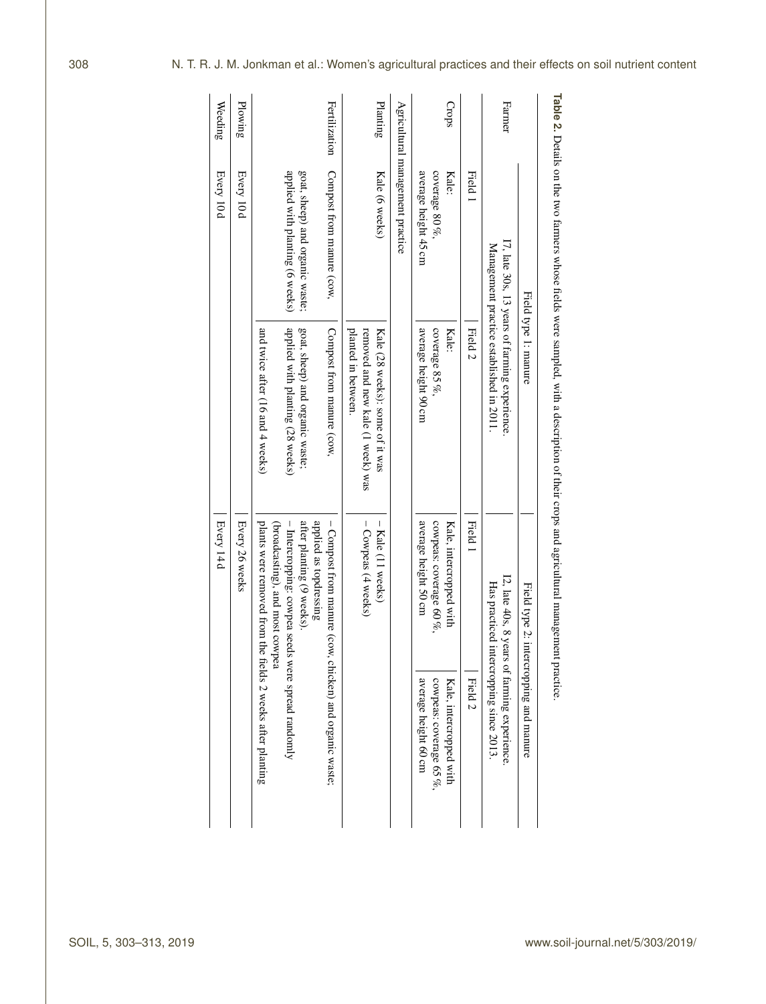|                    |                                                                    | Field type 1: manure                                                                        |                                                                                                                    | Field type 2: intercropping and manure                                                  |
|--------------------|--------------------------------------------------------------------|---------------------------------------------------------------------------------------------|--------------------------------------------------------------------------------------------------------------------|-----------------------------------------------------------------------------------------|
| Farmer             |                                                                    | I7, late 30s, 13 years of farming experience.<br>Management practice established in 2011.   |                                                                                                                    | I2, late 40s, 8 years of farming experience.<br>Has practiced intercropping since 2013. |
|                    | Field 1                                                            | Field <sub>2</sub>                                                                          | Field 1                                                                                                            | Field <sub>2</sub>                                                                      |
| Crops              | coverage 80 $\%$<br>average height 45 cm<br>Kale:                  | coverage 85 $\%$<br>average height 90 cm<br>Kale:                                           | cowpeas: coverage 60 $\%$ ,<br>average height 50 cm<br>Kale, intercropped with                                     | average height 60 cm<br>cowpeas: coverage 65 %,<br>Kale, intercropped with              |
|                    | Agricultural management practice                                   |                                                                                             |                                                                                                                    |                                                                                         |
| Planting           | Kale (6 weeks)                                                     | removed and new kale (1 week) was<br>planted in between.<br>Kale (28 weeks): some of it was | - Cowpeas (4 weeks)<br>$-$ Kale (11 weeks)                                                                         |                                                                                         |
| Fertilization      | Compost from manure (cow,                                          | Compost from manure (cow                                                                    | applied as topdressing<br>- Compost from manure (cow, chicken) and organic waste;                                  |                                                                                         |
|                    | applied with planting (6 weeks)<br>goat, sheep) and organic waste; | applied with planting (28 weeks)<br>goat, sheep) and organic waste;                         | (broadcasting), and most cowpea<br>- Intercropping: cowpea seeds were spread randomly<br>after planting (9 weeks). |                                                                                         |
|                    |                                                                    | and twice after (16 and 4 weeks)                                                            | plants were removed from the fields 2 weeks after planting                                                         |                                                                                         |
| Weeding<br>Plowing | Every 10d<br>Every 10d                                             |                                                                                             | Every 14d<br>Every 26 weeks                                                                                        |                                                                                         |

**Table 2.** Details on the two farmers whose fields were sampled, with a description of their crops and agricultural management practice.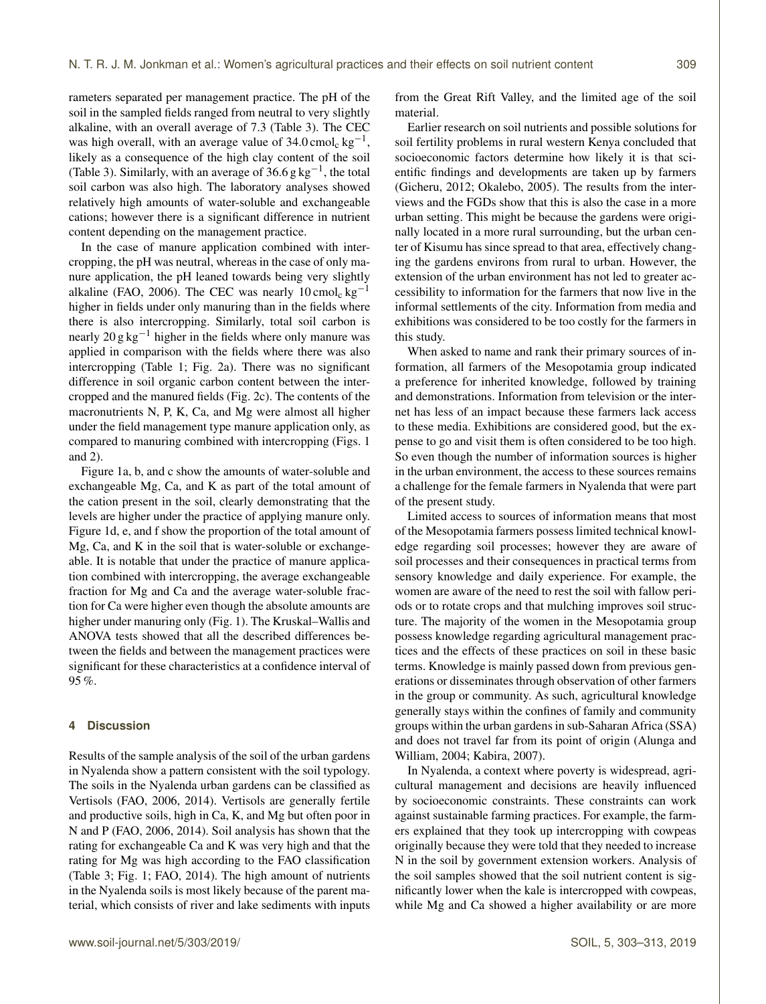rameters separated per management practice. The pH of the soil in the sampled fields ranged from neutral to very slightly alkaline, with an overall average of 7.3 (Table 3). The CEC was high overall, with an average value of  $34.0 \text{ cmol}_c \text{ kg}^{-1}$ , likely as a consequence of the high clay content of the soil (Table 3). Similarly, with an average of 36.6  $g kg^{-1}$ , the total soil carbon was also high. The laboratory analyses showed relatively high amounts of water-soluble and exchangeable cations; however there is a significant difference in nutrient content depending on the management practice.

In the case of manure application combined with intercropping, the pH was neutral, whereas in the case of only manure application, the pH leaned towards being very slightly alkaline (FAO, 2006). The CEC was nearly 10 cmol<sub>c</sub> kg<sup>-1</sup> higher in fields under only manuring than in the fields where there is also intercropping. Similarly, total soil carbon is nearly 20 g kg<sup> $-1$ </sup> higher in the fields where only manure was applied in comparison with the fields where there was also intercropping (Table 1; Fig. 2a). There was no significant difference in soil organic carbon content between the intercropped and the manured fields (Fig. 2c). The contents of the macronutrients N, P, K, Ca, and Mg were almost all higher under the field management type manure application only, as compared to manuring combined with intercropping (Figs. 1 and 2).

Figure 1a, b, and c show the amounts of water-soluble and exchangeable Mg, Ca, and K as part of the total amount of the cation present in the soil, clearly demonstrating that the levels are higher under the practice of applying manure only. Figure 1d, e, and f show the proportion of the total amount of Mg, Ca, and K in the soil that is water-soluble or exchangeable. It is notable that under the practice of manure application combined with intercropping, the average exchangeable fraction for Mg and Ca and the average water-soluble fraction for Ca were higher even though the absolute amounts are higher under manuring only (Fig. 1). The Kruskal–Wallis and ANOVA tests showed that all the described differences between the fields and between the management practices were significant for these characteristics at a confidence interval of 95 %.

## **4 Discussion**

Results of the sample analysis of the soil of the urban gardens in Nyalenda show a pattern consistent with the soil typology. The soils in the Nyalenda urban gardens can be classified as Vertisols (FAO, 2006, 2014). Vertisols are generally fertile and productive soils, high in Ca, K, and Mg but often poor in N and P (FAO, 2006, 2014). Soil analysis has shown that the rating for exchangeable Ca and K was very high and that the rating for Mg was high according to the FAO classification (Table 3; Fig. 1; FAO, 2014). The high amount of nutrients in the Nyalenda soils is most likely because of the parent material, which consists of river and lake sediments with inputs from the Great Rift Valley, and the limited age of the soil material.

Earlier research on soil nutrients and possible solutions for soil fertility problems in rural western Kenya concluded that socioeconomic factors determine how likely it is that scientific findings and developments are taken up by farmers (Gicheru, 2012; Okalebo, 2005). The results from the interviews and the FGDs show that this is also the case in a more urban setting. This might be because the gardens were originally located in a more rural surrounding, but the urban center of Kisumu has since spread to that area, effectively changing the gardens environs from rural to urban. However, the extension of the urban environment has not led to greater accessibility to information for the farmers that now live in the informal settlements of the city. Information from media and exhibitions was considered to be too costly for the farmers in this study.

When asked to name and rank their primary sources of information, all farmers of the Mesopotamia group indicated a preference for inherited knowledge, followed by training and demonstrations. Information from television or the internet has less of an impact because these farmers lack access to these media. Exhibitions are considered good, but the expense to go and visit them is often considered to be too high. So even though the number of information sources is higher in the urban environment, the access to these sources remains a challenge for the female farmers in Nyalenda that were part of the present study.

Limited access to sources of information means that most of the Mesopotamia farmers possess limited technical knowledge regarding soil processes; however they are aware of soil processes and their consequences in practical terms from sensory knowledge and daily experience. For example, the women are aware of the need to rest the soil with fallow periods or to rotate crops and that mulching improves soil structure. The majority of the women in the Mesopotamia group possess knowledge regarding agricultural management practices and the effects of these practices on soil in these basic terms. Knowledge is mainly passed down from previous generations or disseminates through observation of other farmers in the group or community. As such, agricultural knowledge generally stays within the confines of family and community groups within the urban gardens in sub-Saharan Africa (SSA) and does not travel far from its point of origin (Alunga and William, 2004; Kabira, 2007).

In Nyalenda, a context where poverty is widespread, agricultural management and decisions are heavily influenced by socioeconomic constraints. These constraints can work against sustainable farming practices. For example, the farmers explained that they took up intercropping with cowpeas originally because they were told that they needed to increase N in the soil by government extension workers. Analysis of the soil samples showed that the soil nutrient content is significantly lower when the kale is intercropped with cowpeas, while Mg and Ca showed a higher availability or are more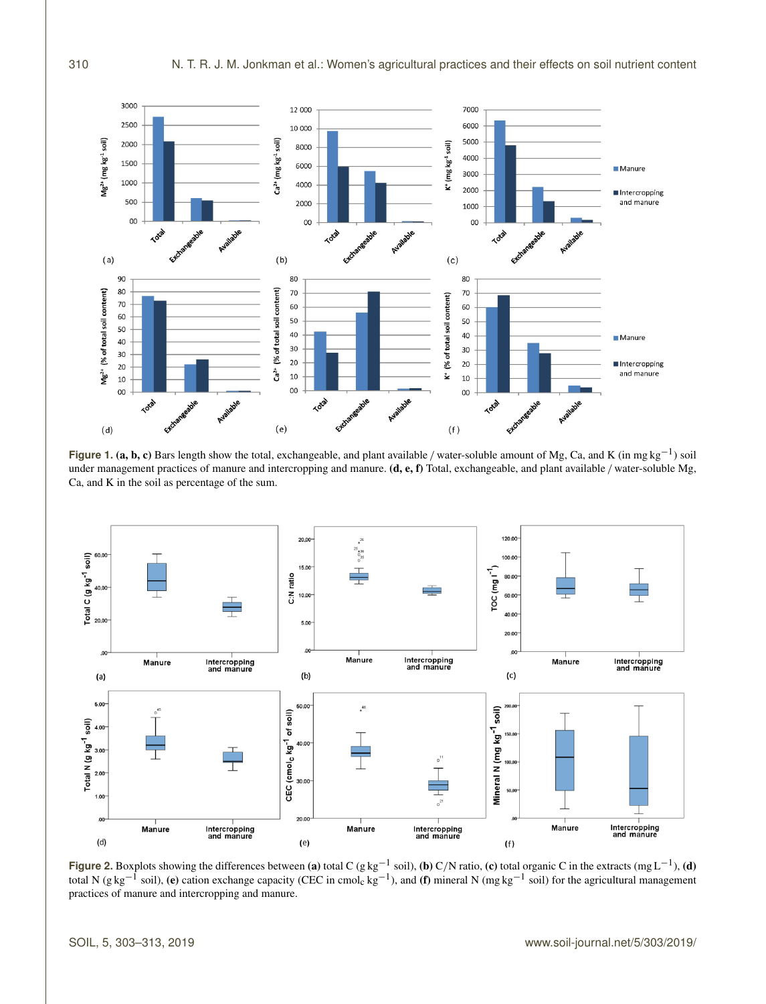

**Figure 1. (a, b, c)** Bars length show the total, exchangeable, and plant available / water-soluble amount of Mg, Ca, and K (in mg kg<sup>-1</sup>) soil under management practices of manure and intercropping and manure.  $(d, e, f)$  Total, exchangeable, and plant available / water-soluble Mg, Ca, and K in the soil as percentage of the sum.



**Figure 2.** Boxplots showing the differences between (a) total C (g kg<sup>-1</sup> soil), (b) C/N ratio, (c) total organic C in the extracts (mg L<sup>-1</sup>), (d) total N (g kg<sup>-1</sup> soil), (e) cation exchange capacity (CEC in cmol<sub>c</sub> kg practices of manure and intercropping and manure.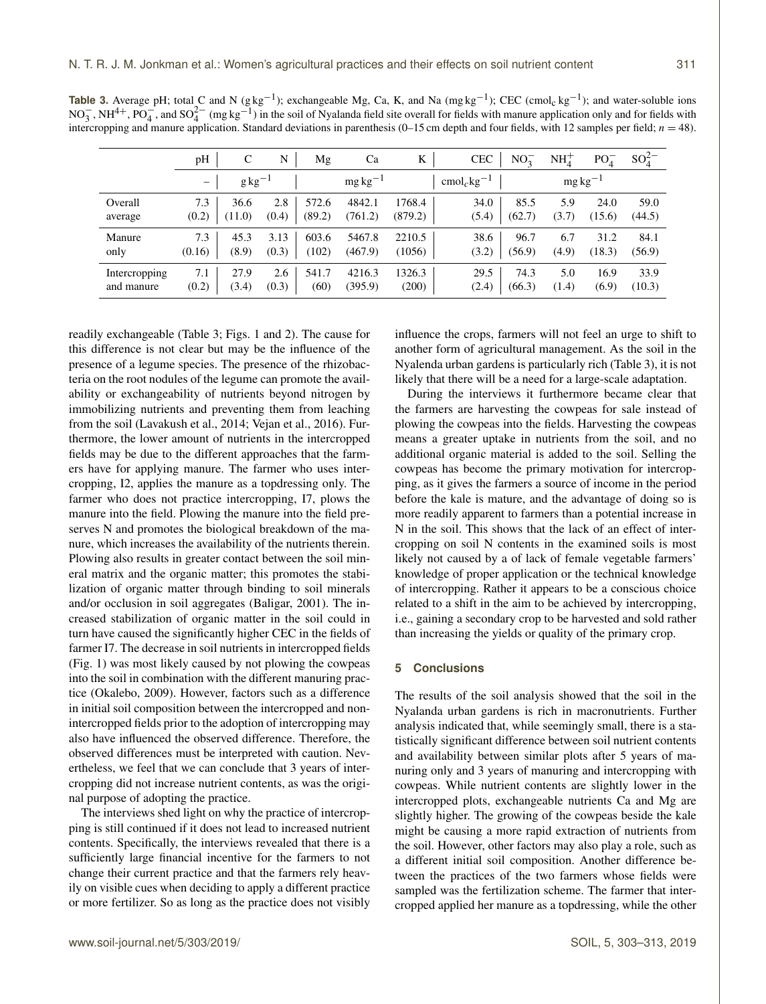| <b>Table 3.</b> Average pH; total C and N (g kg <sup>-1</sup> ); exchangeable Mg, Ca, K, and Na (mg kg <sup>-1</sup> ); CEC (cmol <sub>c</sub> kg <sup>-1</sup> ); and water-soluble ions                             |
|-----------------------------------------------------------------------------------------------------------------------------------------------------------------------------------------------------------------------|
| NO <sub>2</sub> , NH <sup>4+</sup> , PO <sub>4</sub> , and SO <sub>4</sub> <sup>2</sup> (mg kg <sup>-1</sup> ) in the soil of Nyalanda field site overall for fields with manure application only and for fields with |
| intercropping and manure application. Standard deviations in parenthesis (0–15 cm depth and four fields, with 12 samples per field; $n = 48$ ).                                                                       |

|               | pH                       | C                 | N     | Mg     | Ca            | K       | <b>CEC</b>                       | $NO_2^-$ | $\mathrm{NH}_4^+$ | PO <sub>4</sub> | $SO_4^{2-}$ |
|---------------|--------------------------|-------------------|-------|--------|---------------|---------|----------------------------------|----------|-------------------|-----------------|-------------|
|               | $\overline{\phantom{0}}$ | $g\text{kg}^{-1}$ |       |        | $mg\,kg^{-1}$ |         | $\text{cmol}_c$ kg <sup>-1</sup> |          |                   | $mg\,kg^{-1}$   |             |
| Overall       | 7.3                      | 36.6              | 2.8   | 572.6  | 4842.1        | 1768.4  | 34.0                             | 85.5     | 5.9               | 24.0            | 59.0        |
| average       | (0.2)                    | (11.0)            | (0.4) | (89.2) | (761.2)       | (879.2) | (5.4)                            | (62.7)   | (3.7)             | (15.6)          | (44.5)      |
| Manure        | 7.3                      | 45.3              | 3.13  | 603.6  | 5467.8        | 2210.5  | 38.6                             | 96.7     | 6.7               | 31.2            | 84.1        |
| only          | (0.16)                   | (8.9)             | (0.3) | (102)  | (467.9)       | (1056)  | (3.2)                            | (56.9)   | (4.9)             | (18.3)          | (56.9)      |
| Intercropping | 7.1                      | 27.9              | 2.6   | 541.7  | 4216.3        | 1326.3  | 29.5                             | 74.3     | 5.0               | 16.9            | 33.9        |
| and manure    | (0.2)                    | (3.4)             | (0.3) | (60)   | (395.9)       | (200)   | (2.4)                            | (66.3)   | (1.4)             | (6.9)           | (10.3)      |

readily exchangeable (Table 3; Figs. 1 and 2). The cause for this difference is not clear but may be the influence of the presence of a legume species. The presence of the rhizobacteria on the root nodules of the legume can promote the availability or exchangeability of nutrients beyond nitrogen by immobilizing nutrients and preventing them from leaching from the soil (Lavakush et al., 2014; Vejan et al., 2016). Furthermore, the lower amount of nutrients in the intercropped fields may be due to the different approaches that the farmers have for applying manure. The farmer who uses intercropping, I2, applies the manure as a topdressing only. The farmer who does not practice intercropping, I7, plows the manure into the field. Plowing the manure into the field preserves N and promotes the biological breakdown of the manure, which increases the availability of the nutrients therein. Plowing also results in greater contact between the soil mineral matrix and the organic matter; this promotes the stabilization of organic matter through binding to soil minerals and/or occlusion in soil aggregates (Baligar, 2001). The increased stabilization of organic matter in the soil could in turn have caused the significantly higher CEC in the fields of farmer I7. The decrease in soil nutrients in intercropped fields (Fig. 1) was most likely caused by not plowing the cowpeas into the soil in combination with the different manuring practice (Okalebo, 2009). However, factors such as a difference in initial soil composition between the intercropped and nonintercropped fields prior to the adoption of intercropping may also have influenced the observed difference. Therefore, the observed differences must be interpreted with caution. Nevertheless, we feel that we can conclude that 3 years of intercropping did not increase nutrient contents, as was the original purpose of adopting the practice.

The interviews shed light on why the practice of intercropping is still continued if it does not lead to increased nutrient contents. Specifically, the interviews revealed that there is a sufficiently large financial incentive for the farmers to not change their current practice and that the farmers rely heavily on visible cues when deciding to apply a different practice or more fertilizer. So as long as the practice does not visibly

influence the crops, farmers will not feel an urge to shift to another form of agricultural management. As the soil in the Nyalenda urban gardens is particularly rich (Table 3), it is not likely that there will be a need for a large-scale adaptation.

During the interviews it furthermore became clear that the farmers are harvesting the cowpeas for sale instead of plowing the cowpeas into the fields. Harvesting the cowpeas means a greater uptake in nutrients from the soil, and no additional organic material is added to the soil. Selling the cowpeas has become the primary motivation for intercropping, as it gives the farmers a source of income in the period before the kale is mature, and the advantage of doing so is more readily apparent to farmers than a potential increase in N in the soil. This shows that the lack of an effect of intercropping on soil N contents in the examined soils is most likely not caused by a of lack of female vegetable farmers' knowledge of proper application or the technical knowledge of intercropping. Rather it appears to be a conscious choice related to a shift in the aim to be achieved by intercropping, i.e., gaining a secondary crop to be harvested and sold rather than increasing the yields or quality of the primary crop.

#### **5 Conclusions**

The results of the soil analysis showed that the soil in the Nyalanda urban gardens is rich in macronutrients. Further analysis indicated that, while seemingly small, there is a statistically significant difference between soil nutrient contents and availability between similar plots after 5 years of manuring only and 3 years of manuring and intercropping with cowpeas. While nutrient contents are slightly lower in the intercropped plots, exchangeable nutrients Ca and Mg are slightly higher. The growing of the cowpeas beside the kale might be causing a more rapid extraction of nutrients from the soil. However, other factors may also play a role, such as a different initial soil composition. Another difference between the practices of the two farmers whose fields were sampled was the fertilization scheme. The farmer that intercropped applied her manure as a topdressing, while the other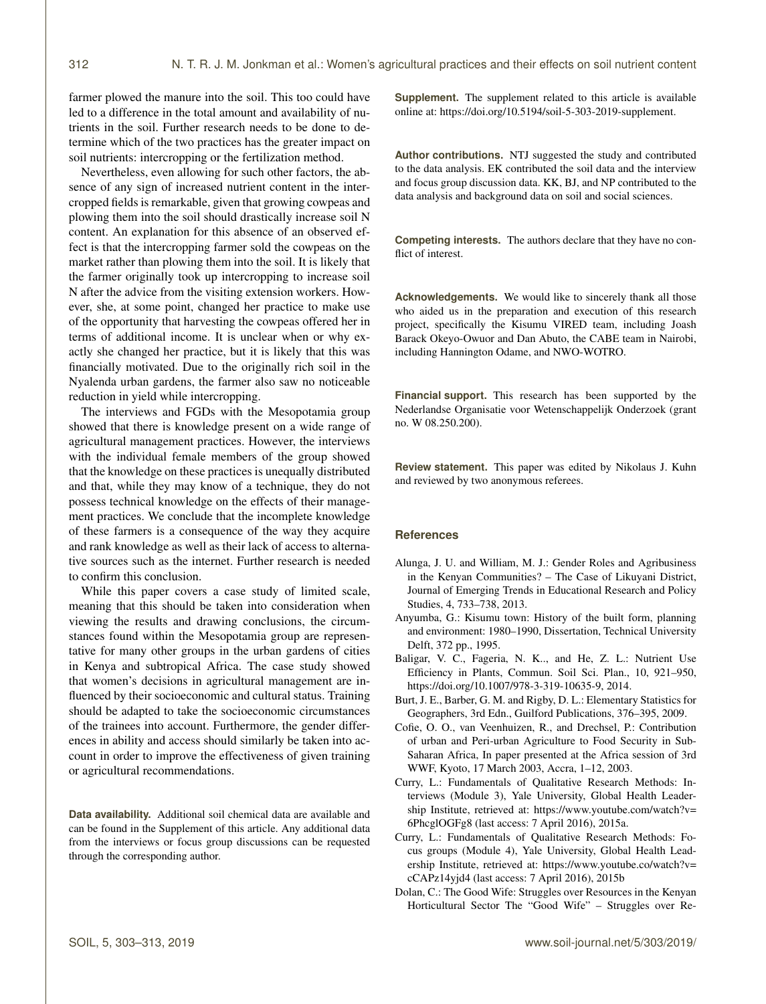farmer plowed the manure into the soil. This too could have led to a difference in the total amount and availability of nutrients in the soil. Further research needs to be done to determine which of the two practices has the greater impact on soil nutrients: intercropping or the fertilization method.

Nevertheless, even allowing for such other factors, the absence of any sign of increased nutrient content in the intercropped fields is remarkable, given that growing cowpeas and plowing them into the soil should drastically increase soil N content. An explanation for this absence of an observed effect is that the intercropping farmer sold the cowpeas on the market rather than plowing them into the soil. It is likely that the farmer originally took up intercropping to increase soil N after the advice from the visiting extension workers. However, she, at some point, changed her practice to make use of the opportunity that harvesting the cowpeas offered her in terms of additional income. It is unclear when or why exactly she changed her practice, but it is likely that this was financially motivated. Due to the originally rich soil in the Nyalenda urban gardens, the farmer also saw no noticeable reduction in yield while intercropping.

The interviews and FGDs with the Mesopotamia group showed that there is knowledge present on a wide range of agricultural management practices. However, the interviews with the individual female members of the group showed that the knowledge on these practices is unequally distributed and that, while they may know of a technique, they do not possess technical knowledge on the effects of their management practices. We conclude that the incomplete knowledge of these farmers is a consequence of the way they acquire and rank knowledge as well as their lack of access to alternative sources such as the internet. Further research is needed to confirm this conclusion.

While this paper covers a case study of limited scale, meaning that this should be taken into consideration when viewing the results and drawing conclusions, the circumstances found within the Mesopotamia group are representative for many other groups in the urban gardens of cities in Kenya and subtropical Africa. The case study showed that women's decisions in agricultural management are influenced by their socioeconomic and cultural status. Training should be adapted to take the socioeconomic circumstances of the trainees into account. Furthermore, the gender differences in ability and access should similarly be taken into account in order to improve the effectiveness of given training or agricultural recommendations.

**Data availability.** Additional soil chemical data are available and can be found in the Supplement of this article. Any additional data from the interviews or focus group discussions can be requested through the corresponding author.

**Supplement.** The supplement related to this article is available online at: [https://doi.org/10.5194/soil-5-303-2019-supplement.](https://doi.org/10.5194/soil-5-303-2019-supplement)

**Author contributions.** NTJ suggested the study and contributed to the data analysis. EK contributed the soil data and the interview and focus group discussion data. KK, BJ, and NP contributed to the data analysis and background data on soil and social sciences.

**Competing interests.** The authors declare that they have no conflict of interest.

**Acknowledgements.** We would like to sincerely thank all those who aided us in the preparation and execution of this research project, specifically the Kisumu VIRED team, including Joash Barack Okeyo-Owuor and Dan Abuto, the CABE team in Nairobi, including Hannington Odame, and NWO-WOTRO.

**Financial support.** This research has been supported by the Nederlandse Organisatie voor Wetenschappelijk Onderzoek (grant no. W 08.250.200).

**Review statement.** This paper was edited by Nikolaus J. Kuhn and reviewed by two anonymous referees.

#### **References**

- Alunga, J. U. and William, M. J.: Gender Roles and Agribusiness in the Kenyan Communities? – The Case of Likuyani District, Journal of Emerging Trends in Educational Research and Policy Studies, 4, 733–738, 2013.
- Anyumba, G.: Kisumu town: History of the built form, planning and environment: 1980–1990, Dissertation, Technical University Delft, 372 pp., 1995.
- Baligar, V. C., Fageria, N. K.., and He, Z. L.: Nutrient Use Efficiency in Plants, Commun. Soil Sci. Plan., 10, 921–950, https://doi.org[/10.1007/978-3-319-10635-9,](https://doi.org/10.1007/978-3-319-10635-9) 2014.
- Burt, J. E., Barber, G. M. and Rigby, D. L.: Elementary Statistics for Geographers, 3rd Edn., Guilford Publications, 376–395, 2009.
- Cofie, O. O., van Veenhuizen, R., and Drechsel, P.: Contribution of urban and Peri-urban Agriculture to Food Security in Sub-Saharan Africa, In paper presented at the Africa session of 3rd WWF, Kyoto, 17 March 2003, Accra, 1–12, 2003.
- Curry, L.: Fundamentals of Qualitative Research Methods: Interviews (Module 3), Yale University, Global Health Leadership Institute, retrieved at: [https://www.youtube.com/watch?v=](https://www.youtube.com/watch?v=6PhcglOGFg8) [6PhcglOGFg8](https://www.youtube.com/watch?v=6PhcglOGFg8) (last access: 7 April 2016), 2015a.
- Curry, L.: Fundamentals of Qualitative Research Methods: Focus groups (Module 4), Yale University, Global Health Leadership Institute, retrieved at: [https://www.youtube.co/watch?v=](https://www.youtube.co/watch?v=cCAPz14yjd4) [cCAPz14yjd4](https://www.youtube.co/watch?v=cCAPz14yjd4) (last access: 7 April 2016), 2015b
- Dolan, C.: The Good Wife: Struggles over Resources in the Kenyan Horticultural Sector The "Good Wife" – Struggles over Re-